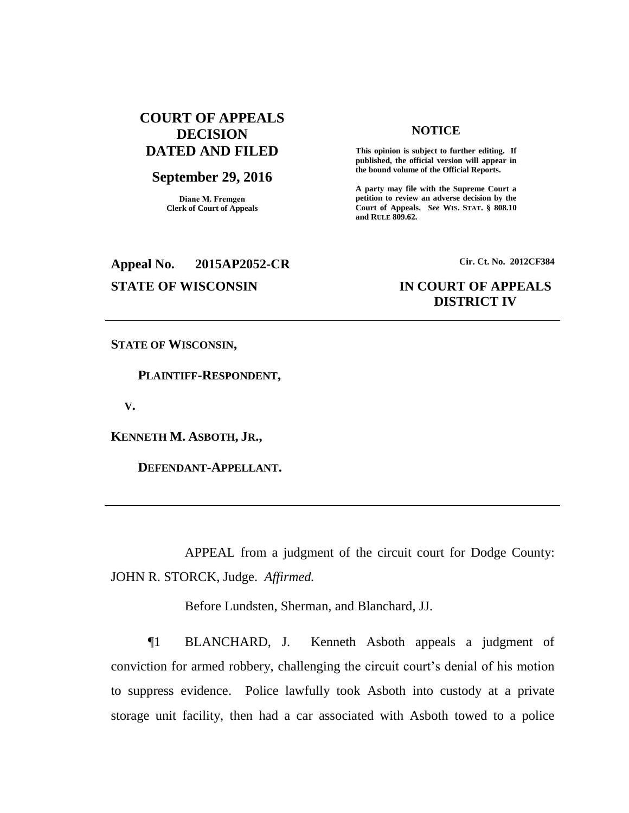# **COURT OF APPEALS DECISION DATED AND FILED**

# **September 29, 2016**

**Diane M. Fremgen Clerk of Court of Appeals**

# **NOTICE**

**This opinion is subject to further editing. If published, the official version will appear in the bound volume of the Official Reports.** 

**A party may file with the Supreme Court a petition to review an adverse decision by the Court of Appeals.** *See* **WIS. STAT. § 808.10 and RULE 809.62.** 

# **Appeal No. 2015AP2052-CR Cir. Ct. No. 2012CF384**

# **STATE OF WISCONSIN IN COURT OF APPEALS DISTRICT IV**

**STATE OF WISCONSIN,**

 **PLAINTIFF-RESPONDENT,**

 **V.**

**KENNETH M. ASBOTH, JR.,**

 **DEFENDANT-APPELLANT.**

APPEAL from a judgment of the circuit court for Dodge County: JOHN R. STORCK, Judge. *Affirmed.*

Before Lundsten, Sherman, and Blanchard, JJ.

¶1 BLANCHARD, J. Kenneth Asboth appeals a judgment of conviction for armed robbery, challenging the circuit court's denial of his motion to suppress evidence. Police lawfully took Asboth into custody at a private storage unit facility, then had a car associated with Asboth towed to a police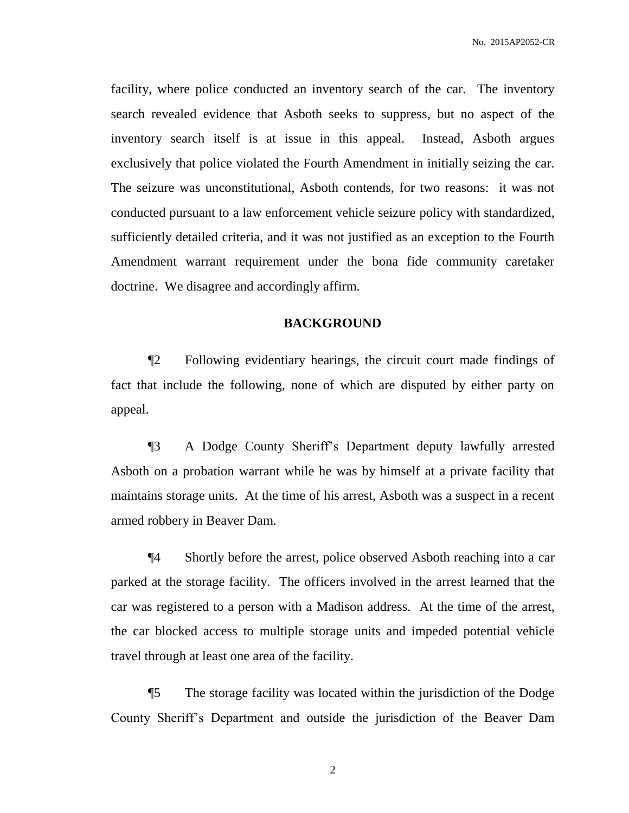facility, where police conducted an inventory search of the car. The inventory search revealed evidence that Asboth seeks to suppress, but no aspect of the inventory search itself is at issue in this appeal. Instead, Asboth argues exclusively that police violated the Fourth Amendment in initially seizing the car. The seizure was unconstitutional, Asboth contends, for two reasons: it was not conducted pursuant to a law enforcement vehicle seizure policy with standardized, sufficiently detailed criteria, and it was not justified as an exception to the Fourth Amendment warrant requirement under the bona fide community caretaker doctrine. We disagree and accordingly affirm.

# **BACKGROUND**

¶2 Following evidentiary hearings, the circuit court made findings of fact that include the following, none of which are disputed by either party on appeal.

¶3 A Dodge County Sheriff's Department deputy lawfully arrested Asboth on a probation warrant while he was by himself at a private facility that maintains storage units. At the time of his arrest, Asboth was a suspect in a recent armed robbery in Beaver Dam.

¶4 Shortly before the arrest, police observed Asboth reaching into a car parked at the storage facility. The officers involved in the arrest learned that the car was registered to a person with a Madison address. At the time of the arrest, the car blocked access to multiple storage units and impeded potential vehicle travel through at least one area of the facility.

¶5 The storage facility was located within the jurisdiction of the Dodge County Sheriff's Department and outside the jurisdiction of the Beaver Dam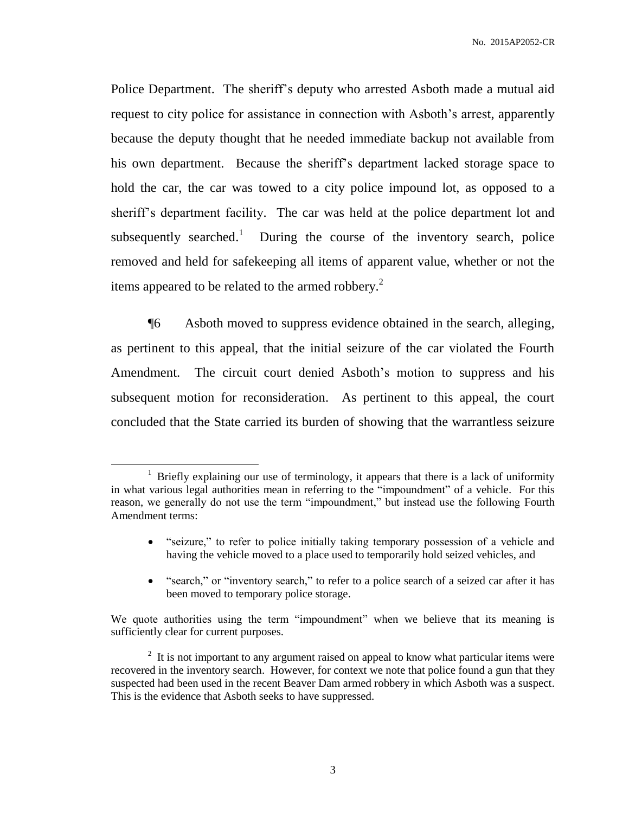Police Department. The sheriff's deputy who arrested Asboth made a mutual aid request to city police for assistance in connection with Asboth's arrest, apparently because the deputy thought that he needed immediate backup not available from his own department. Because the sheriff's department lacked storage space to hold the car, the car was towed to a city police impound lot, as opposed to a sheriff's department facility. The car was held at the police department lot and subsequently searched.<sup>1</sup> During the course of the inventory search, police removed and held for safekeeping all items of apparent value, whether or not the items appeared to be related to the armed robbery. $^2$ 

¶6 Asboth moved to suppress evidence obtained in the search, alleging, as pertinent to this appeal, that the initial seizure of the car violated the Fourth Amendment. The circuit court denied Asboth's motion to suppress and his subsequent motion for reconsideration. As pertinent to this appeal, the court concluded that the State carried its burden of showing that the warrantless seizure

- "seizure," to refer to police initially taking temporary possession of a vehicle and having the vehicle moved to a place used to temporarily hold seized vehicles, and
- "search," or "inventory search," to refer to a police search of a seized car after it has been moved to temporary police storage.

<sup>&</sup>lt;sup>1</sup> Briefly explaining our use of terminology, it appears that there is a lack of uniformity in what various legal authorities mean in referring to the "impoundment" of a vehicle. For this reason, we generally do not use the term "impoundment," but instead use the following Fourth Amendment terms:

We quote authorities using the term "impoundment" when we believe that its meaning is sufficiently clear for current purposes.

 $2<sup>2</sup>$  It is not important to any argument raised on appeal to know what particular items were recovered in the inventory search. However, for context we note that police found a gun that they suspected had been used in the recent Beaver Dam armed robbery in which Asboth was a suspect. This is the evidence that Asboth seeks to have suppressed.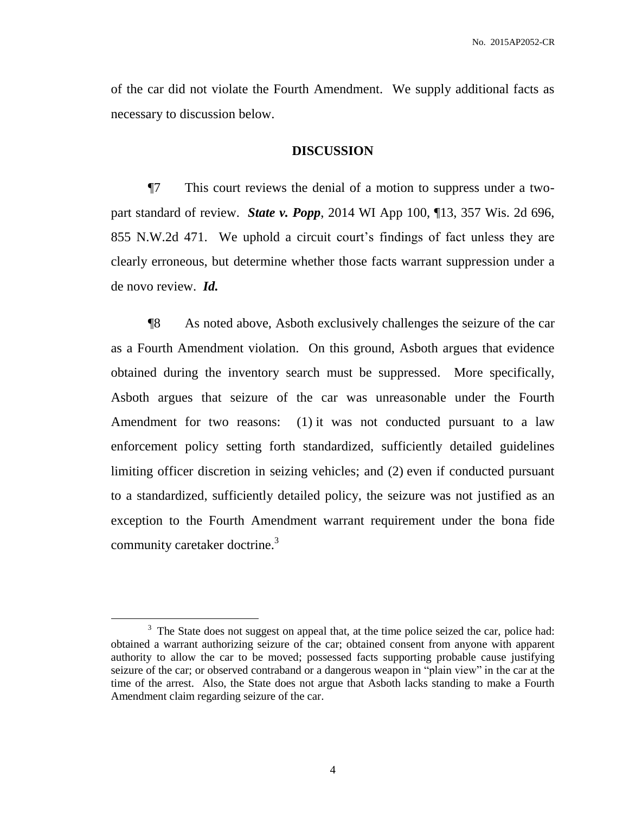of the car did not violate the Fourth Amendment. We supply additional facts as necessary to discussion below.

#### **DISCUSSION**

¶7 This court reviews the denial of a motion to suppress under a twopart standard of review. *State v. Popp*, 2014 WI App 100, ¶13, 357 Wis. 2d 696, 855 N.W.2d 471. We uphold a circuit court's findings of fact unless they are clearly erroneous, but determine whether those facts warrant suppression under a de novo review. *Id.*

¶8 As noted above, Asboth exclusively challenges the seizure of the car as a Fourth Amendment violation. On this ground, Asboth argues that evidence obtained during the inventory search must be suppressed. More specifically, Asboth argues that seizure of the car was unreasonable under the Fourth Amendment for two reasons: (1) it was not conducted pursuant to a law enforcement policy setting forth standardized, sufficiently detailed guidelines limiting officer discretion in seizing vehicles; and (2) even if conducted pursuant to a standardized, sufficiently detailed policy, the seizure was not justified as an exception to the Fourth Amendment warrant requirement under the bona fide community caretaker doctrine.<sup>3</sup>

 $3$  The State does not suggest on appeal that, at the time police seized the car, police had: obtained a warrant authorizing seizure of the car; obtained consent from anyone with apparent authority to allow the car to be moved; possessed facts supporting probable cause justifying seizure of the car; or observed contraband or a dangerous weapon in "plain view" in the car at the time of the arrest. Also, the State does not argue that Asboth lacks standing to make a Fourth Amendment claim regarding seizure of the car.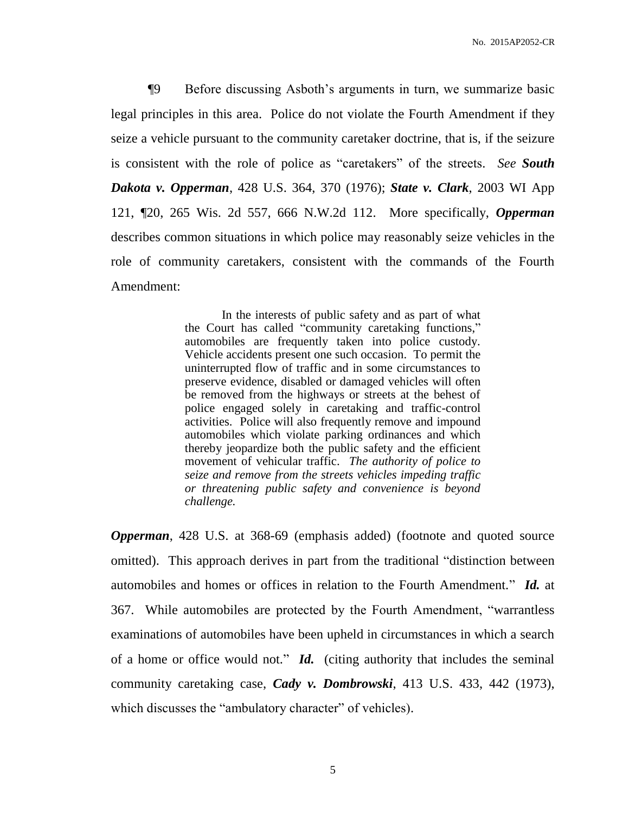¶9 Before discussing Asboth's arguments in turn, we summarize basic legal principles in this area. Police do not violate the Fourth Amendment if they seize a vehicle pursuant to the community caretaker doctrine, that is, if the seizure is consistent with the role of police as "caretakers" of the streets. *See South Dakota v. Opperman*, 428 U.S. 364, 370 (1976); *State v. Clark*, 2003 WI App 121, ¶20, 265 Wis. 2d 557, 666 N.W.2d 112. More specifically, *Opperman* describes common situations in which police may reasonably seize vehicles in the role of community caretakers, consistent with the commands of the Fourth Amendment:

> In the interests of public safety and as part of what the Court has called "community caretaking functions," automobiles are frequently taken into police custody. Vehicle accidents present one such occasion. To permit the uninterrupted flow of traffic and in some circumstances to preserve evidence, disabled or damaged vehicles will often be removed from the highways or streets at the behest of police engaged solely in caretaking and traffic-control activities. Police will also frequently remove and impound automobiles which violate parking ordinances and which thereby jeopardize both the public safety and the efficient movement of vehicular traffic. *The authority of police to seize and remove from the streets vehicles impeding traffic or threatening public safety and convenience is beyond challenge.*

*Opperman*, 428 U.S. at 368-69 (emphasis added) (footnote and quoted source omitted). This approach derives in part from the traditional "distinction between automobiles and homes or offices in relation to the Fourth Amendment." *Id.* at 367. While automobiles are protected by the Fourth Amendment, "warrantless examinations of automobiles have been upheld in circumstances in which a search of a home or office would not." *Id.* (citing authority that includes the seminal community caretaking case, *Cady v. Dombrowski*, 413 U.S. 433, 442 (1973), which discusses the "ambulatory character" of vehicles).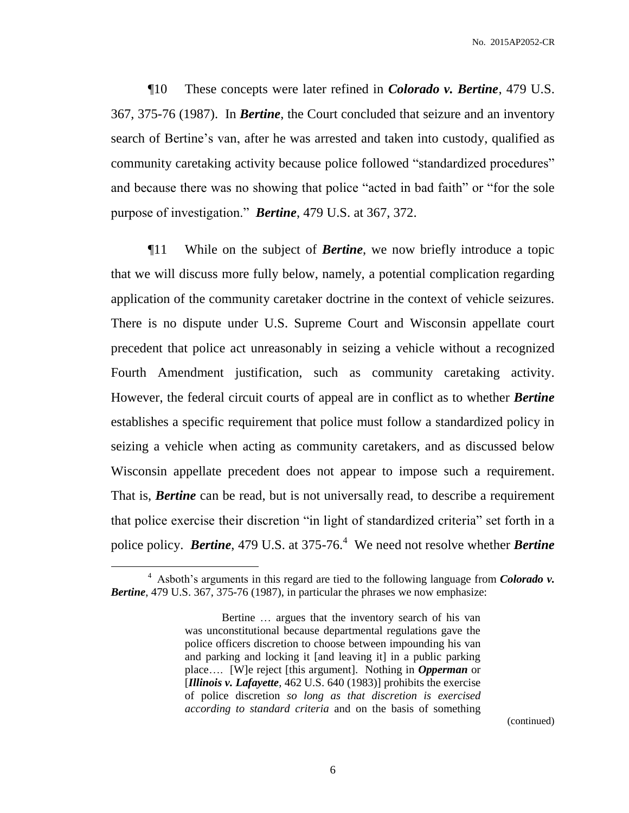¶10 These concepts were later refined in *Colorado v. Bertine*, 479 U.S. 367, 375-76 (1987). In *Bertine*, the Court concluded that seizure and an inventory search of Bertine's van, after he was arrested and taken into custody, qualified as community caretaking activity because police followed "standardized procedures" and because there was no showing that police "acted in bad faith" or "for the sole purpose of investigation." *Bertine*, 479 U.S. at 367, 372.

¶11 While on the subject of *Bertine*, we now briefly introduce a topic that we will discuss more fully below, namely, a potential complication regarding application of the community caretaker doctrine in the context of vehicle seizures. There is no dispute under U.S. Supreme Court and Wisconsin appellate court precedent that police act unreasonably in seizing a vehicle without a recognized Fourth Amendment justification, such as community caretaking activity. However, the federal circuit courts of appeal are in conflict as to whether *Bertine*  establishes a specific requirement that police must follow a standardized policy in seizing a vehicle when acting as community caretakers, and as discussed below Wisconsin appellate precedent does not appear to impose such a requirement. That is, *Bertine* can be read, but is not universally read, to describe a requirement that police exercise their discretion "in light of standardized criteria" set forth in a police policy. **Bertine**, 479 U.S. at 375-76.<sup>4</sup> We need not resolve whether **Bertine** 

 $\overline{a}$ 

(continued)

<sup>4</sup> Asboth's arguments in this regard are tied to the following language from *Colorado v. Bertine*, 479 U.S. 367, 375-76 (1987), in particular the phrases we now emphasize:

Bertine … argues that the inventory search of his van was unconstitutional because departmental regulations gave the police officers discretion to choose between impounding his van and parking and locking it [and leaving it] in a public parking place…. [W]e reject [this argument]. Nothing in *Opperman* or [*Illinois v. Lafayette*, 462 U.S. 640 (1983)] prohibits the exercise of police discretion *so long as that discretion is exercised according to standard criteria* and on the basis of something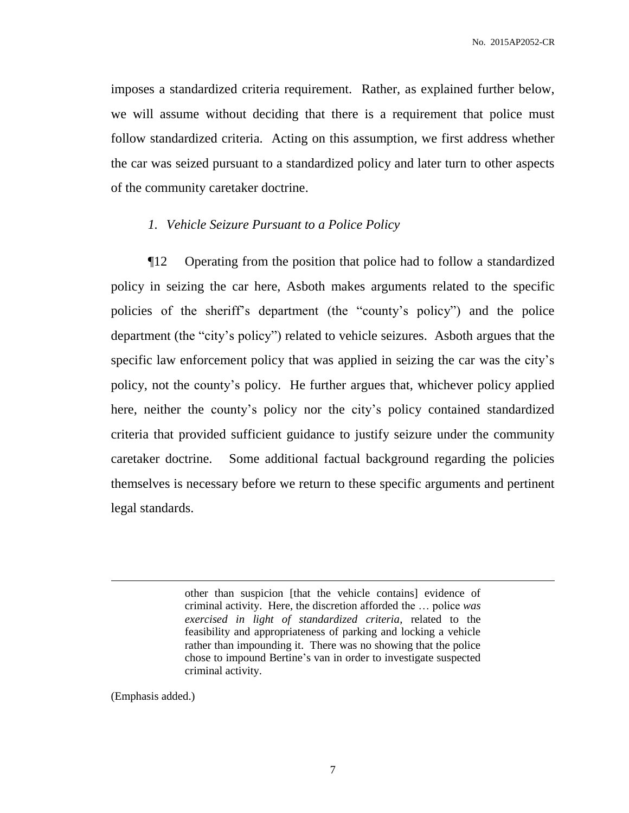imposes a standardized criteria requirement. Rather, as explained further below, we will assume without deciding that there is a requirement that police must follow standardized criteria. Acting on this assumption, we first address whether the car was seized pursuant to a standardized policy and later turn to other aspects of the community caretaker doctrine.

# *1. Vehicle Seizure Pursuant to a Police Policy*

¶12 Operating from the position that police had to follow a standardized policy in seizing the car here, Asboth makes arguments related to the specific policies of the sheriff's department (the "county's policy") and the police department (the "city's policy") related to vehicle seizures. Asboth argues that the specific law enforcement policy that was applied in seizing the car was the city's policy, not the county's policy. He further argues that, whichever policy applied here, neither the county's policy nor the city's policy contained standardized criteria that provided sufficient guidance to justify seizure under the community caretaker doctrine. Some additional factual background regarding the policies themselves is necessary before we return to these specific arguments and pertinent legal standards.

> other than suspicion [that the vehicle contains] evidence of criminal activity. Here, the discretion afforded the … police *was exercised in light of standardized criteria*, related to the feasibility and appropriateness of parking and locking a vehicle rather than impounding it. There was no showing that the police chose to impound Bertine's van in order to investigate suspected criminal activity.

(Emphasis added.)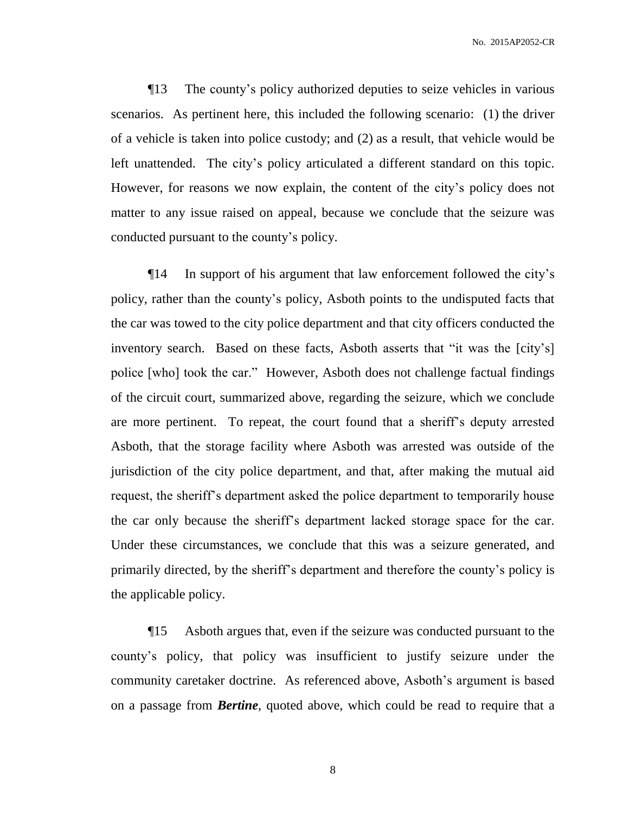¶13 The county's policy authorized deputies to seize vehicles in various scenarios. As pertinent here, this included the following scenario: (1) the driver of a vehicle is taken into police custody; and (2) as a result, that vehicle would be left unattended. The city's policy articulated a different standard on this topic. However, for reasons we now explain, the content of the city's policy does not matter to any issue raised on appeal, because we conclude that the seizure was conducted pursuant to the county's policy.

¶14 In support of his argument that law enforcement followed the city's policy, rather than the county's policy, Asboth points to the undisputed facts that the car was towed to the city police department and that city officers conducted the inventory search. Based on these facts, Asboth asserts that "it was the [city's] police [who] took the car." However, Asboth does not challenge factual findings of the circuit court, summarized above, regarding the seizure, which we conclude are more pertinent. To repeat, the court found that a sheriff's deputy arrested Asboth, that the storage facility where Asboth was arrested was outside of the jurisdiction of the city police department, and that, after making the mutual aid request, the sheriff's department asked the police department to temporarily house the car only because the sheriff's department lacked storage space for the car. Under these circumstances, we conclude that this was a seizure generated, and primarily directed, by the sheriff's department and therefore the county's policy is the applicable policy.

¶15 Asboth argues that, even if the seizure was conducted pursuant to the county's policy, that policy was insufficient to justify seizure under the community caretaker doctrine. As referenced above, Asboth's argument is based on a passage from *Bertine*, quoted above, which could be read to require that a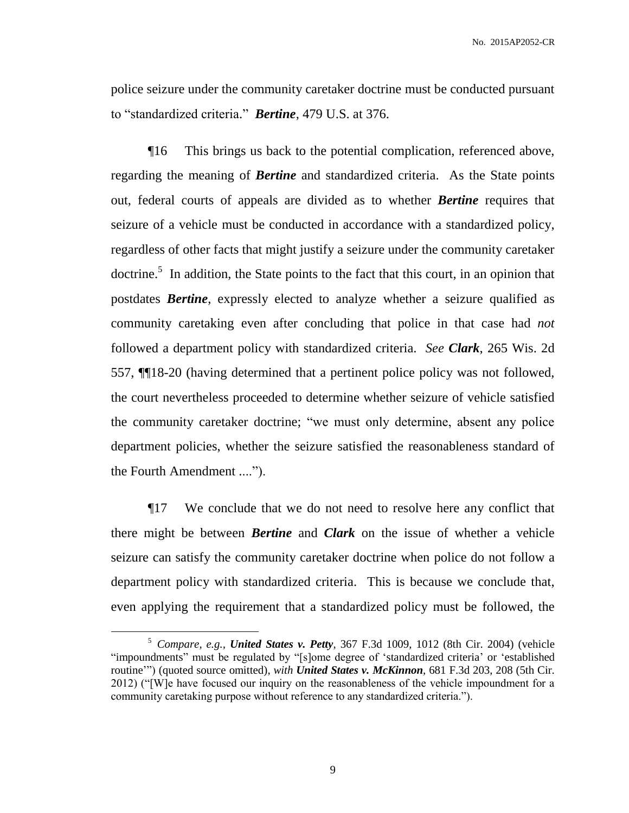police seizure under the community caretaker doctrine must be conducted pursuant to "standardized criteria." *Bertine*, 479 U.S. at 376.

¶16 This brings us back to the potential complication, referenced above, regarding the meaning of *Bertine* and standardized criteria. As the State points out, federal courts of appeals are divided as to whether *Bertine* requires that seizure of a vehicle must be conducted in accordance with a standardized policy, regardless of other facts that might justify a seizure under the community caretaker doctrine.<sup>5</sup> In addition, the State points to the fact that this court, in an opinion that postdates *Bertine*, expressly elected to analyze whether a seizure qualified as community caretaking even after concluding that police in that case had *not* followed a department policy with standardized criteria. *See Clark*, 265 Wis. 2d 557, ¶¶18-20 (having determined that a pertinent police policy was not followed, the court nevertheless proceeded to determine whether seizure of vehicle satisfied the community caretaker doctrine; "we must only determine, absent any police department policies, whether the seizure satisfied the reasonableness standard of the Fourth Amendment ....").

¶17 We conclude that we do not need to resolve here any conflict that there might be between *Bertine* and *Clark* on the issue of whether a vehicle seizure can satisfy the community caretaker doctrine when police do not follow a department policy with standardized criteria. This is because we conclude that, even applying the requirement that a standardized policy must be followed, the

<sup>5</sup> *Compare, e.g., United States v. Petty*, 367 F.3d 1009, 1012 (8th Cir. 2004) (vehicle "impoundments" must be regulated by "[s]ome degree of 'standardized criteria' or 'established routine'") (quoted source omitted), *with United States v. McKinnon*, 681 F.3d 203, 208 (5th Cir. 2012) ("[W]e have focused our inquiry on the reasonableness of the vehicle impoundment for a community caretaking purpose without reference to any standardized criteria.").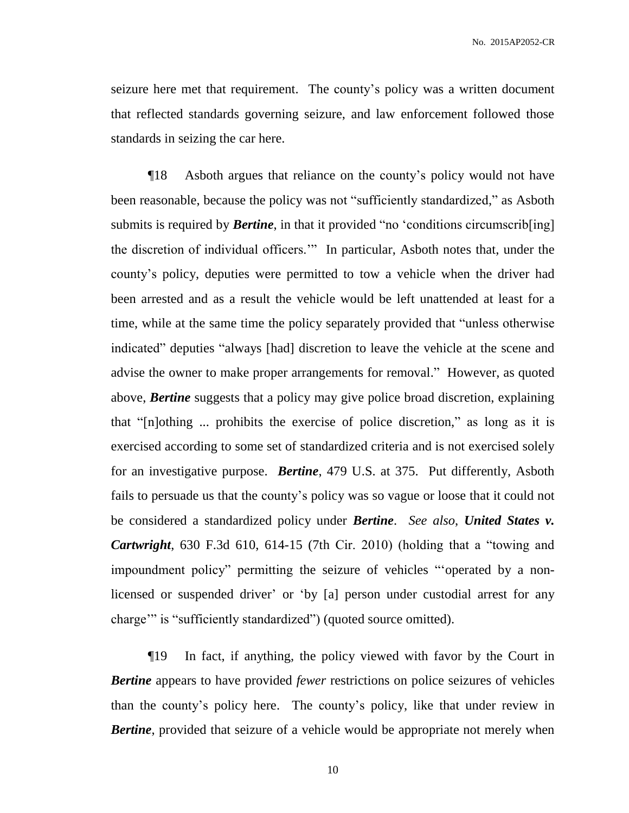seizure here met that requirement. The county's policy was a written document that reflected standards governing seizure, and law enforcement followed those standards in seizing the car here.

¶18 Asboth argues that reliance on the county's policy would not have been reasonable, because the policy was not "sufficiently standardized," as Asboth submits is required by **Bertine**, in that it provided "no 'conditions circumscrib<sup>[ing]</sup> the discretion of individual officers.'" In particular, Asboth notes that, under the county's policy, deputies were permitted to tow a vehicle when the driver had been arrested and as a result the vehicle would be left unattended at least for a time, while at the same time the policy separately provided that "unless otherwise indicated" deputies "always [had] discretion to leave the vehicle at the scene and advise the owner to make proper arrangements for removal." However, as quoted above, *Bertine* suggests that a policy may give police broad discretion, explaining that "[n]othing ... prohibits the exercise of police discretion," as long as it is exercised according to some set of standardized criteria and is not exercised solely for an investigative purpose. *Bertine*, 479 U.S. at 375. Put differently, Asboth fails to persuade us that the county's policy was so vague or loose that it could not be considered a standardized policy under *Bertine*. *See also*, *United States v. Cartwright*, 630 F.3d 610, 614-15 (7th Cir. 2010) (holding that a "towing and impoundment policy" permitting the seizure of vehicles "'operated by a nonlicensed or suspended driver' or 'by [a] person under custodial arrest for any charge'" is "sufficiently standardized") (quoted source omitted).

¶19 In fact, if anything, the policy viewed with favor by the Court in *Bertine* appears to have provided *fewer* restrictions on police seizures of vehicles than the county's policy here. The county's policy, like that under review in *Bertine*, provided that seizure of a vehicle would be appropriate not merely when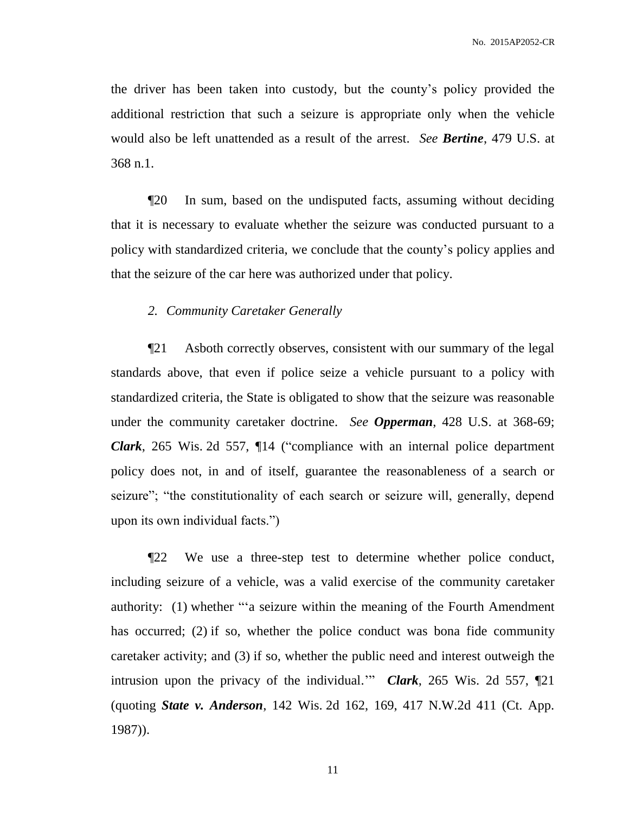the driver has been taken into custody, but the county's policy provided the additional restriction that such a seizure is appropriate only when the vehicle would also be left unattended as a result of the arrest. *See Bertine*, 479 U.S. at 368 n.1.

¶20 In sum, based on the undisputed facts, assuming without deciding that it is necessary to evaluate whether the seizure was conducted pursuant to a policy with standardized criteria, we conclude that the county's policy applies and that the seizure of the car here was authorized under that policy.

# *2. Community Caretaker Generally*

¶21 Asboth correctly observes, consistent with our summary of the legal standards above, that even if police seize a vehicle pursuant to a policy with standardized criteria, the State is obligated to show that the seizure was reasonable under the community caretaker doctrine. *See Opperman*, 428 U.S. at 368-69; *Clark*, 265 Wis. 2d 557, ¶14 ("compliance with an internal police department policy does not, in and of itself, guarantee the reasonableness of a search or seizure"; "the constitutionality of each search or seizure will, generally, depend upon its own individual facts.")

¶22 We use a three-step test to determine whether police conduct, including seizure of a vehicle, was a valid exercise of the community caretaker authority: (1) whether "'a seizure within the meaning of the Fourth Amendment has occurred; (2) if so, whether the police conduct was bona fide community caretaker activity; and (3) if so, whether the public need and interest outweigh the intrusion upon the privacy of the individual.'" *Clark*, 265 Wis. 2d 557, ¶21 (quoting *State v. Anderson*, 142 Wis. 2d 162, 169, 417 N.W.2d 411 (Ct. App. 1987)).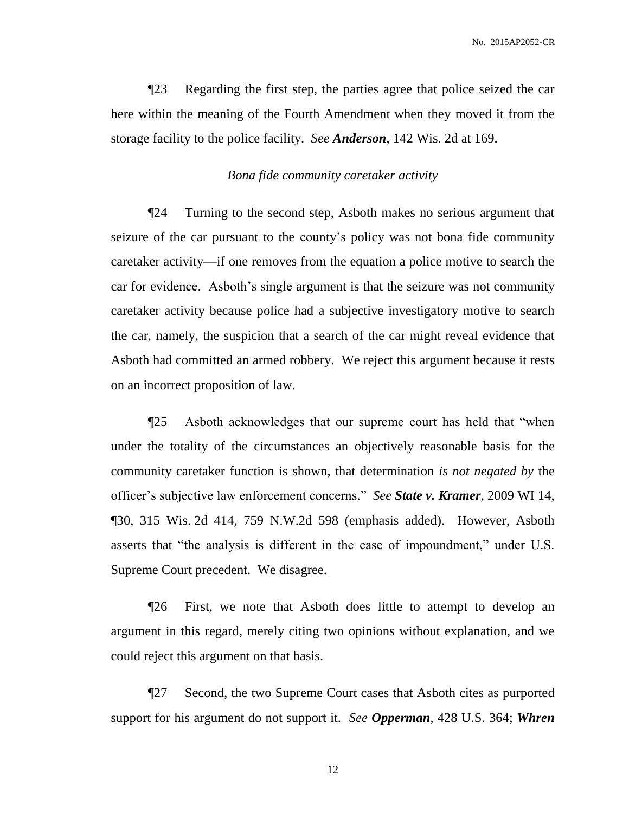¶23 Regarding the first step, the parties agree that police seized the car here within the meaning of the Fourth Amendment when they moved it from the storage facility to the police facility. *See Anderson*, 142 Wis. 2d at 169.

## *Bona fide community caretaker activity*

¶24 Turning to the second step, Asboth makes no serious argument that seizure of the car pursuant to the county's policy was not bona fide community caretaker activity—if one removes from the equation a police motive to search the car for evidence. Asboth's single argument is that the seizure was not community caretaker activity because police had a subjective investigatory motive to search the car, namely, the suspicion that a search of the car might reveal evidence that Asboth had committed an armed robbery. We reject this argument because it rests on an incorrect proposition of law.

¶25 Asboth acknowledges that our supreme court has held that "when under the totality of the circumstances an objectively reasonable basis for the community caretaker function is shown, that determination *is not negated by* the officer's subjective law enforcement concerns." *See State v. Kramer*, 2009 WI 14, ¶30, 315 Wis. 2d 414, 759 N.W.2d 598 (emphasis added). However, Asboth asserts that "the analysis is different in the case of impoundment," under U.S. Supreme Court precedent. We disagree.

¶26 First, we note that Asboth does little to attempt to develop an argument in this regard, merely citing two opinions without explanation, and we could reject this argument on that basis.

¶27 Second, the two Supreme Court cases that Asboth cites as purported support for his argument do not support it. *See Opperman*, 428 U.S. 364; *Whren*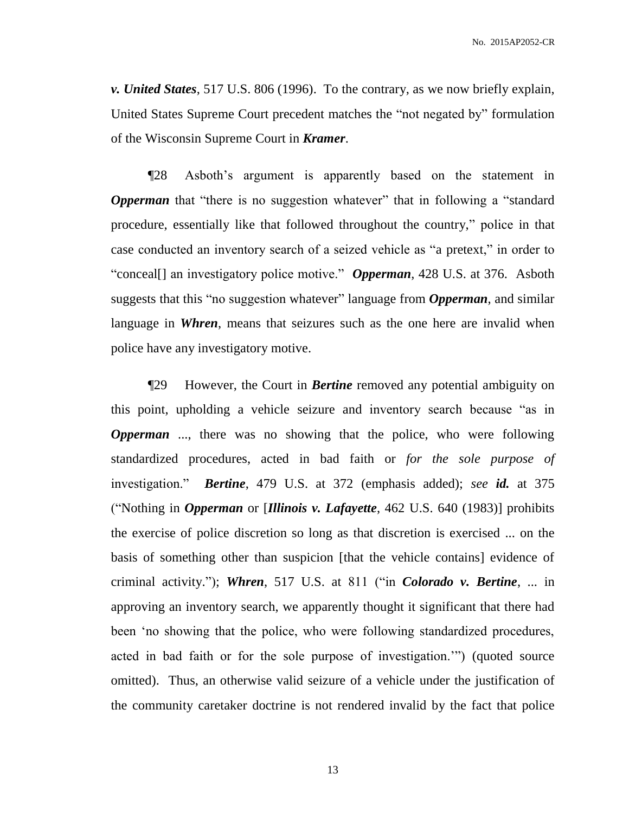*v. United States*, 517 U.S. 806 (1996). To the contrary, as we now briefly explain, United States Supreme Court precedent matches the "not negated by" formulation of the Wisconsin Supreme Court in *Kramer*.

¶28 Asboth's argument is apparently based on the statement in *Opperman* that "there is no suggestion whatever" that in following a "standard" procedure, essentially like that followed throughout the country," police in that case conducted an inventory search of a seized vehicle as "a pretext," in order to "conceal[] an investigatory police motive." *Opperman*, 428 U.S. at 376. Asboth suggests that this "no suggestion whatever" language from *Opperman*, and similar language in *Whren*, means that seizures such as the one here are invalid when police have any investigatory motive.

¶29 However, the Court in *Bertine* removed any potential ambiguity on this point, upholding a vehicle seizure and inventory search because "as in *Opperman* ..., there was no showing that the police, who were following standardized procedures, acted in bad faith or *for the sole purpose of* investigation." *Bertine*, 479 U.S. at 372 (emphasis added); *see id.* at 375 ("Nothing in *Opperman* or [*Illinois v. Lafayette*, 462 U.S. 640 (1983)] prohibits the exercise of police discretion so long as that discretion is exercised ... on the basis of something other than suspicion [that the vehicle contains] evidence of criminal activity."); *Whren*, 517 U.S. at 811 ("in *Colorado v. Bertine*, ... in approving an inventory search, we apparently thought it significant that there had been 'no showing that the police, who were following standardized procedures, acted in bad faith or for the sole purpose of investigation.'") (quoted source omitted). Thus, an otherwise valid seizure of a vehicle under the justification of the community caretaker doctrine is not rendered invalid by the fact that police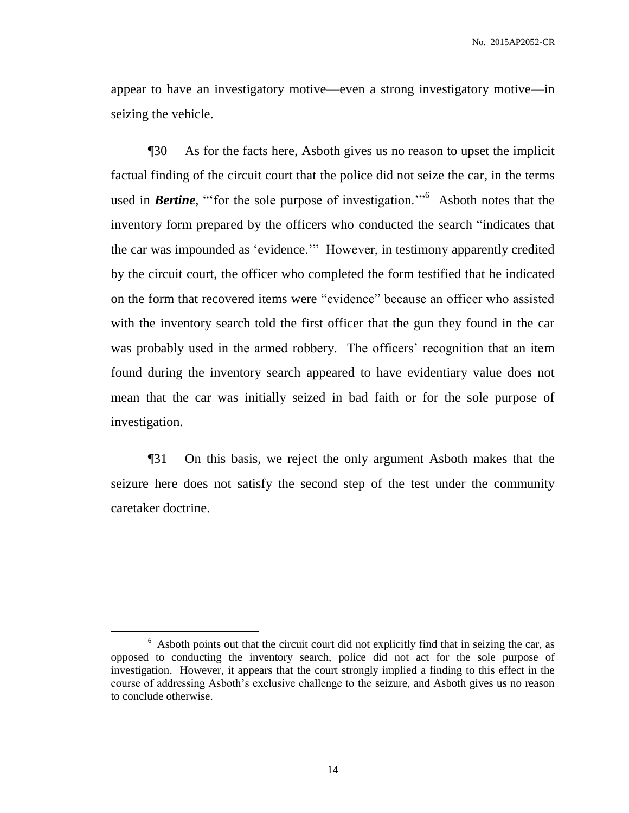appear to have an investigatory motive—even a strong investigatory motive—in seizing the vehicle.

¶30 As for the facts here, Asboth gives us no reason to upset the implicit factual finding of the circuit court that the police did not seize the car, in the terms used in **Bertine**, "for the sole purpose of investigation."<sup>6</sup> Asboth notes that the inventory form prepared by the officers who conducted the search "indicates that the car was impounded as 'evidence.'" However, in testimony apparently credited by the circuit court, the officer who completed the form testified that he indicated on the form that recovered items were "evidence" because an officer who assisted with the inventory search told the first officer that the gun they found in the car was probably used in the armed robbery. The officers' recognition that an item found during the inventory search appeared to have evidentiary value does not mean that the car was initially seized in bad faith or for the sole purpose of investigation.

¶31 On this basis, we reject the only argument Asboth makes that the seizure here does not satisfy the second step of the test under the community caretaker doctrine.

<sup>&</sup>lt;sup>6</sup> Asboth points out that the circuit court did not explicitly find that in seizing the car, as opposed to conducting the inventory search, police did not act for the sole purpose of investigation. However, it appears that the court strongly implied a finding to this effect in the course of addressing Asboth's exclusive challenge to the seizure, and Asboth gives us no reason to conclude otherwise.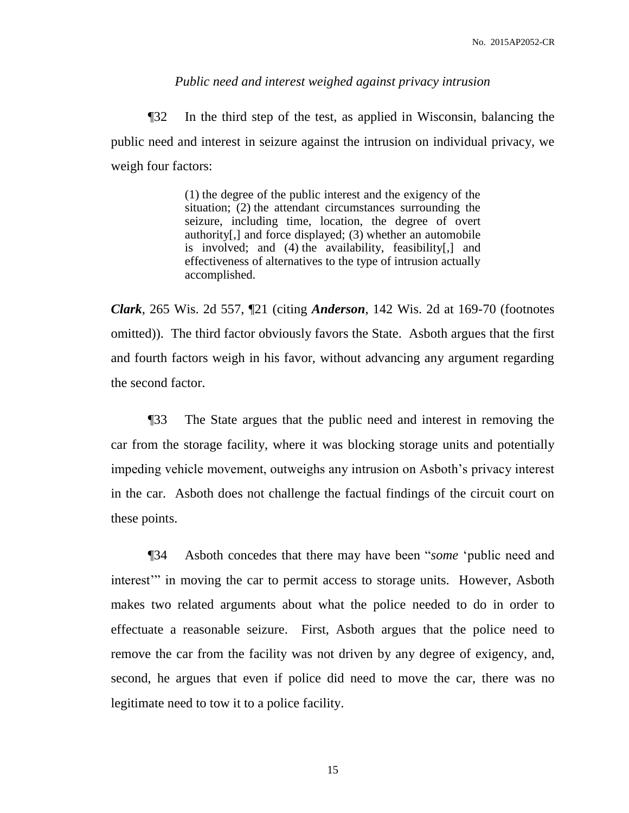### *Public need and interest weighed against privacy intrusion*

¶32 In the third step of the test, as applied in Wisconsin, balancing the public need and interest in seizure against the intrusion on individual privacy, we weigh four factors:

> (1) the degree of the public interest and the exigency of the situation; (2) the attendant circumstances surrounding the seizure, including time, location, the degree of overt authority[,] and force displayed; (3) whether an automobile is involved; and (4) the availability, feasibility[,] and effectiveness of alternatives to the type of intrusion actually accomplished.

*Clark*, 265 Wis. 2d 557, ¶21 (citing *Anderson*, 142 Wis. 2d at 169-70 (footnotes omitted)). The third factor obviously favors the State. Asboth argues that the first and fourth factors weigh in his favor, without advancing any argument regarding the second factor.

¶33 The State argues that the public need and interest in removing the car from the storage facility, where it was blocking storage units and potentially impeding vehicle movement, outweighs any intrusion on Asboth's privacy interest in the car. Asboth does not challenge the factual findings of the circuit court on these points.

¶34 Asboth concedes that there may have been "*some* 'public need and interest<sup>"</sup> in moving the car to permit access to storage units. However, Asboth makes two related arguments about what the police needed to do in order to effectuate a reasonable seizure. First, Asboth argues that the police need to remove the car from the facility was not driven by any degree of exigency, and, second, he argues that even if police did need to move the car, there was no legitimate need to tow it to a police facility.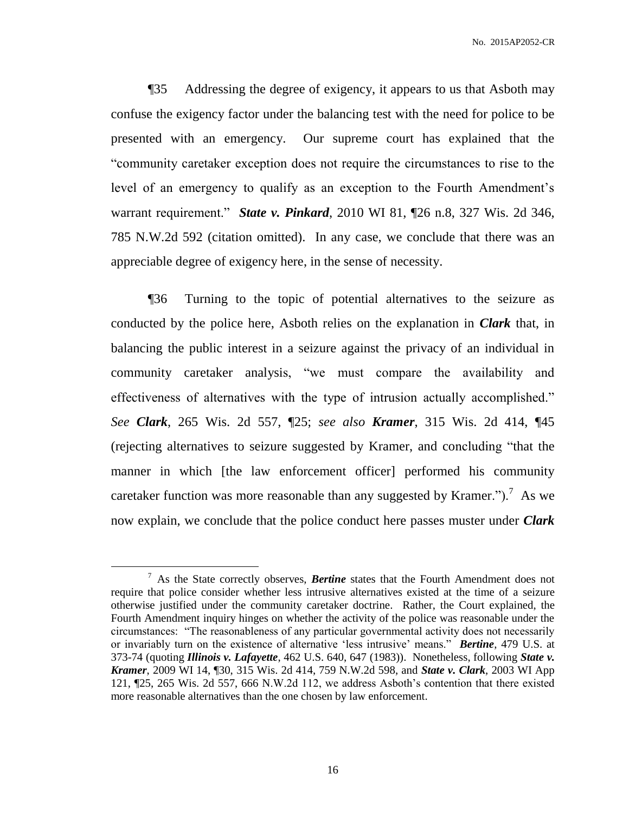¶35 Addressing the degree of exigency, it appears to us that Asboth may confuse the exigency factor under the balancing test with the need for police to be presented with an emergency. Our supreme court has explained that the "community caretaker exception does not require the circumstances to rise to the level of an emergency to qualify as an exception to the Fourth Amendment's warrant requirement." *State v. Pinkard*, 2010 WI 81, ¶26 n.8, 327 Wis. 2d 346, 785 N.W.2d 592 (citation omitted). In any case, we conclude that there was an appreciable degree of exigency here, in the sense of necessity.

¶36 Turning to the topic of potential alternatives to the seizure as conducted by the police here, Asboth relies on the explanation in *Clark* that, in balancing the public interest in a seizure against the privacy of an individual in community caretaker analysis, "we must compare the availability and effectiveness of alternatives with the type of intrusion actually accomplished." *See Clark*, 265 Wis. 2d 557, ¶25; *see also Kramer*, 315 Wis. 2d 414, ¶45 (rejecting alternatives to seizure suggested by Kramer, and concluding "that the manner in which [the law enforcement officer] performed his community caretaker function was more reasonable than any suggested by Kramer." $)^{7}$  As we now explain, we conclude that the police conduct here passes muster under *Clark* 

<sup>7</sup> As the State correctly observes, *Bertine* states that the Fourth Amendment does not require that police consider whether less intrusive alternatives existed at the time of a seizure otherwise justified under the community caretaker doctrine. Rather, the Court explained, the Fourth Amendment inquiry hinges on whether the activity of the police was reasonable under the circumstances: "The reasonableness of any particular governmental activity does not necessarily or invariably turn on the existence of alternative 'less intrusive' means." *Bertine*, 479 U.S. at 373-74 (quoting *Illinois v. Lafayette*, 462 U.S. 640, 647 (1983)). Nonetheless, following *State v. Kramer*, 2009 WI 14, ¶30, 315 Wis. 2d 414, 759 N.W.2d 598, and *State v. Clark*, 2003 WI App 121, ¶25, 265 Wis. 2d 557, 666 N.W.2d 112, we address Asboth's contention that there existed more reasonable alternatives than the one chosen by law enforcement.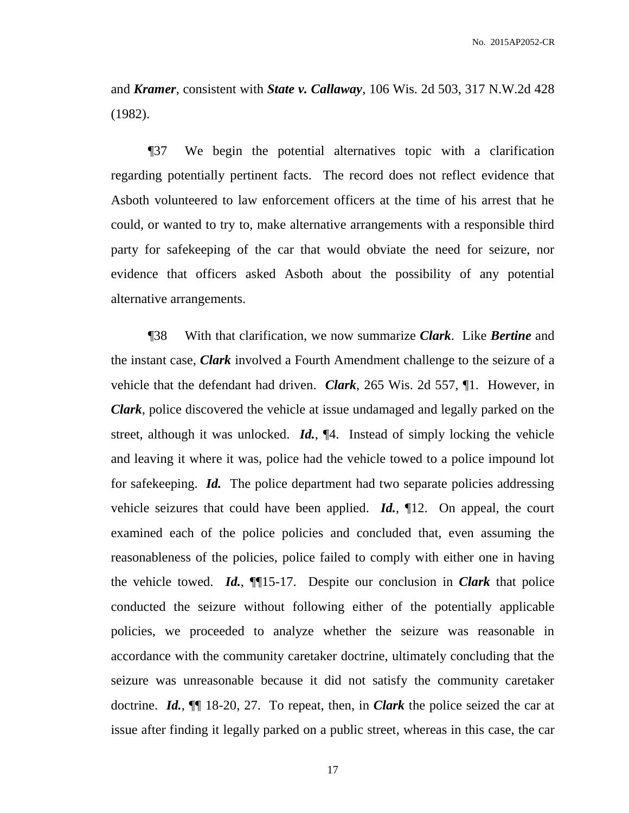and *Kramer*, consistent with *State v. Callaway*, 106 Wis. 2d 503, 317 N.W.2d 428 (1982).

¶37 We begin the potential alternatives topic with a clarification regarding potentially pertinent facts. The record does not reflect evidence that Asboth volunteered to law enforcement officers at the time of his arrest that he could, or wanted to try to, make alternative arrangements with a responsible third party for safekeeping of the car that would obviate the need for seizure, nor evidence that officers asked Asboth about the possibility of any potential alternative arrangements.

¶38 With that clarification, we now summarize *Clark*. Like *Bertine* and the instant case, *Clark* involved a Fourth Amendment challenge to the seizure of a vehicle that the defendant had driven. *Clark*, 265 Wis. 2d 557, ¶1. However, in *Clark*, police discovered the vehicle at issue undamaged and legally parked on the street, although it was unlocked. *Id.*, ¶4. Instead of simply locking the vehicle and leaving it where it was, police had the vehicle towed to a police impound lot for safekeeping. *Id.* The police department had two separate policies addressing vehicle seizures that could have been applied. *Id.*, ¶12. On appeal, the court examined each of the police policies and concluded that, even assuming the reasonableness of the policies, police failed to comply with either one in having the vehicle towed. *Id.*, ¶¶15-17. Despite our conclusion in *Clark* that police conducted the seizure without following either of the potentially applicable policies, we proceeded to analyze whether the seizure was reasonable in accordance with the community caretaker doctrine, ultimately concluding that the seizure was unreasonable because it did not satisfy the community caretaker doctrine. *Id.*, ¶¶ 18-20, 27. To repeat, then, in *Clark* the police seized the car at issue after finding it legally parked on a public street, whereas in this case, the car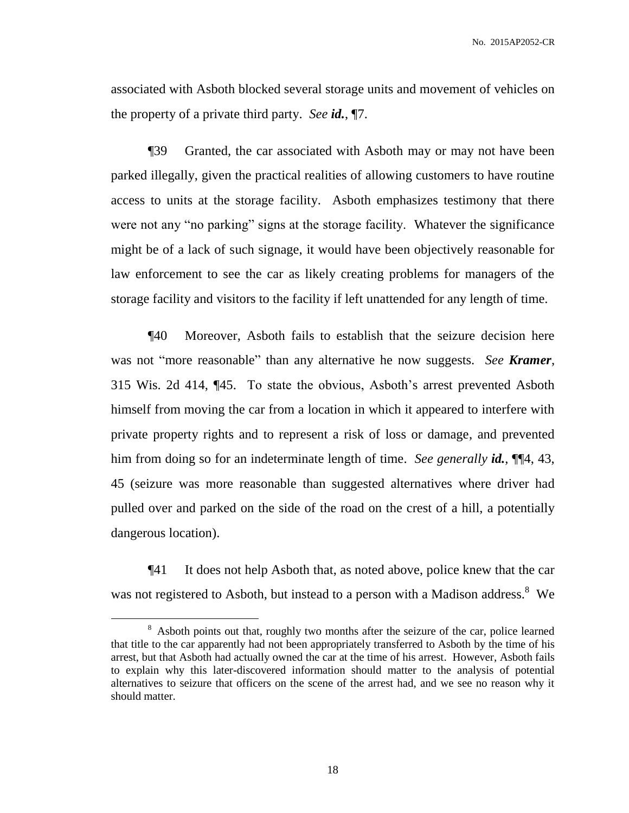associated with Asboth blocked several storage units and movement of vehicles on the property of a private third party. *See id.*, ¶7.

¶39 Granted, the car associated with Asboth may or may not have been parked illegally, given the practical realities of allowing customers to have routine access to units at the storage facility. Asboth emphasizes testimony that there were not any "no parking" signs at the storage facility. Whatever the significance might be of a lack of such signage, it would have been objectively reasonable for law enforcement to see the car as likely creating problems for managers of the storage facility and visitors to the facility if left unattended for any length of time.

¶40 Moreover, Asboth fails to establish that the seizure decision here was not "more reasonable" than any alternative he now suggests. *See Kramer*, 315 Wis. 2d 414, ¶45. To state the obvious, Asboth's arrest prevented Asboth himself from moving the car from a location in which it appeared to interfere with private property rights and to represent a risk of loss or damage, and prevented him from doing so for an indeterminate length of time. *See generally id.*, ¶¶4, 43, 45 (seizure was more reasonable than suggested alternatives where driver had pulled over and parked on the side of the road on the crest of a hill, a potentially dangerous location).

¶41 It does not help Asboth that, as noted above, police knew that the car was not registered to Asboth, but instead to a person with a Madison address.<sup>8</sup> We

<sup>&</sup>lt;sup>8</sup> Asboth points out that, roughly two months after the seizure of the car, police learned that title to the car apparently had not been appropriately transferred to Asboth by the time of his arrest, but that Asboth had actually owned the car at the time of his arrest. However, Asboth fails to explain why this later-discovered information should matter to the analysis of potential alternatives to seizure that officers on the scene of the arrest had, and we see no reason why it should matter.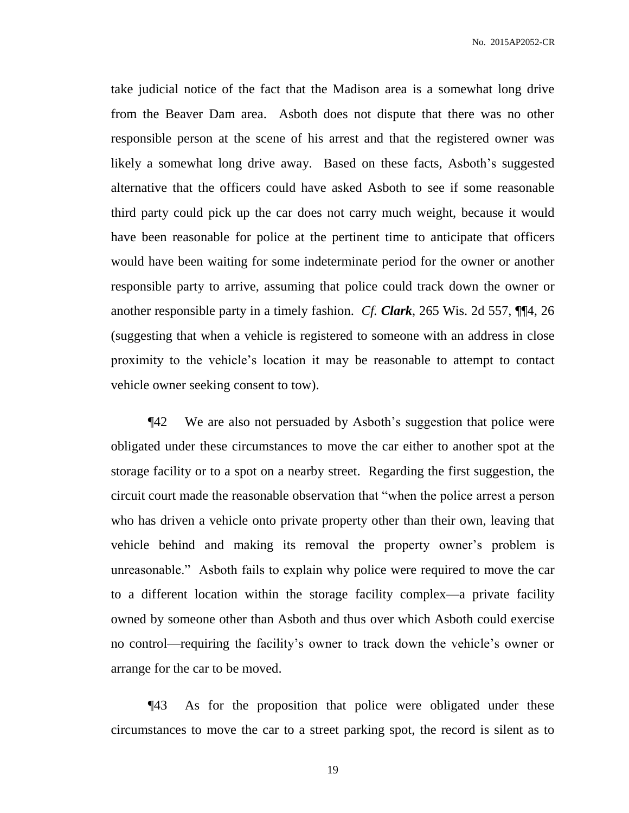take judicial notice of the fact that the Madison area is a somewhat long drive from the Beaver Dam area. Asboth does not dispute that there was no other responsible person at the scene of his arrest and that the registered owner was likely a somewhat long drive away. Based on these facts, Asboth's suggested alternative that the officers could have asked Asboth to see if some reasonable third party could pick up the car does not carry much weight, because it would have been reasonable for police at the pertinent time to anticipate that officers would have been waiting for some indeterminate period for the owner or another responsible party to arrive, assuming that police could track down the owner or another responsible party in a timely fashion. *Cf. Clark*, 265 Wis. 2d 557, ¶¶4, 26 (suggesting that when a vehicle is registered to someone with an address in close proximity to the vehicle's location it may be reasonable to attempt to contact vehicle owner seeking consent to tow).

¶42 We are also not persuaded by Asboth's suggestion that police were obligated under these circumstances to move the car either to another spot at the storage facility or to a spot on a nearby street. Regarding the first suggestion, the circuit court made the reasonable observation that "when the police arrest a person who has driven a vehicle onto private property other than their own, leaving that vehicle behind and making its removal the property owner's problem is unreasonable." Asboth fails to explain why police were required to move the car to a different location within the storage facility complex—a private facility owned by someone other than Asboth and thus over which Asboth could exercise no control—requiring the facility's owner to track down the vehicle's owner or arrange for the car to be moved.

¶43 As for the proposition that police were obligated under these circumstances to move the car to a street parking spot, the record is silent as to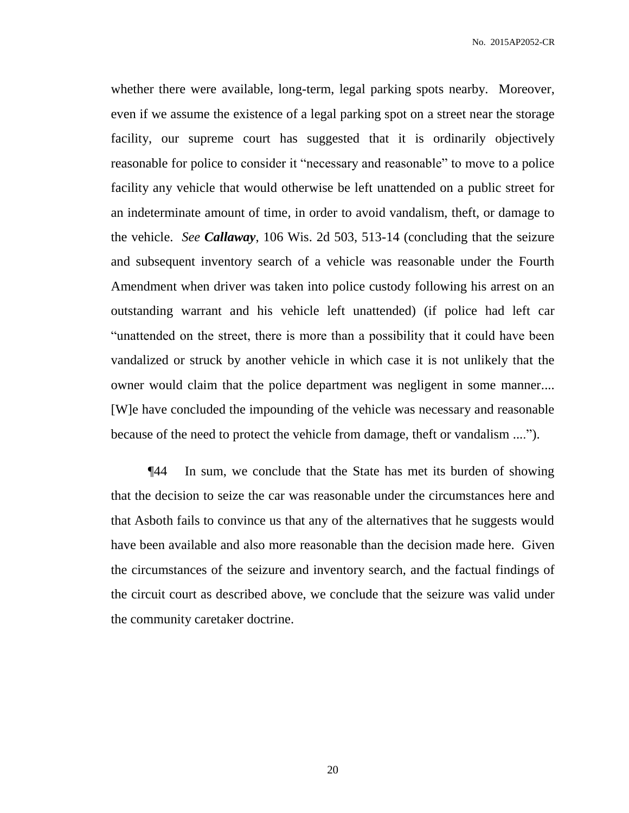whether there were available, long-term, legal parking spots nearby. Moreover, even if we assume the existence of a legal parking spot on a street near the storage facility, our supreme court has suggested that it is ordinarily objectively reasonable for police to consider it "necessary and reasonable" to move to a police facility any vehicle that would otherwise be left unattended on a public street for an indeterminate amount of time, in order to avoid vandalism, theft, or damage to the vehicle. *See Callaway*, 106 Wis. 2d 503, 513-14 (concluding that the seizure and subsequent inventory search of a vehicle was reasonable under the Fourth Amendment when driver was taken into police custody following his arrest on an outstanding warrant and his vehicle left unattended) (if police had left car "unattended on the street, there is more than a possibility that it could have been vandalized or struck by another vehicle in which case it is not unlikely that the owner would claim that the police department was negligent in some manner.... [W]e have concluded the impounding of the vehicle was necessary and reasonable because of the need to protect the vehicle from damage, theft or vandalism ....").

¶44 In sum, we conclude that the State has met its burden of showing that the decision to seize the car was reasonable under the circumstances here and that Asboth fails to convince us that any of the alternatives that he suggests would have been available and also more reasonable than the decision made here. Given the circumstances of the seizure and inventory search, and the factual findings of the circuit court as described above, we conclude that the seizure was valid under the community caretaker doctrine.